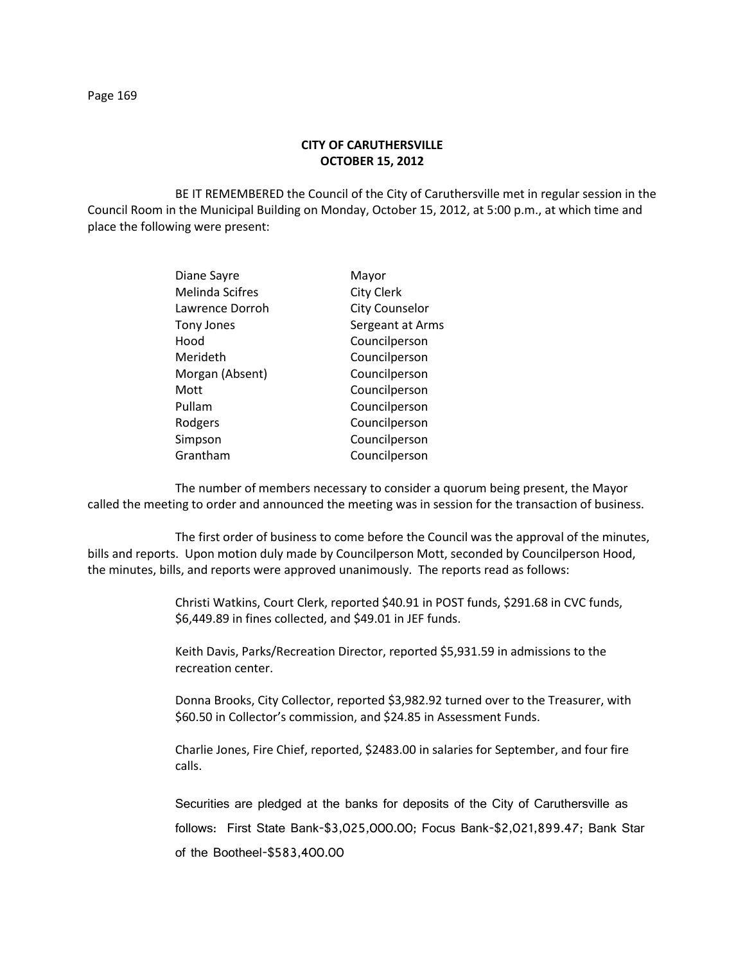## **CITY OF CARUTHERSVILLE OCTOBER 15, 2012**

BE IT REMEMBERED the Council of the City of Caruthersville met in regular session in the Council Room in the Municipal Building on Monday, October 15, 2012, at 5:00 p.m., at which time and place the following were present:

| Diane Sayre            | Mayor                 |
|------------------------|-----------------------|
| <b>Melinda Scifres</b> | <b>City Clerk</b>     |
| Lawrence Dorroh        | <b>City Counselor</b> |
| Tony Jones             | Sergeant at Arms      |
| Hood                   | Councilperson         |
| Merideth               | Councilperson         |
| Morgan (Absent)        | Councilperson         |
| Mott                   | Councilperson         |
| Pullam                 | Councilperson         |
| Rodgers                | Councilperson         |
| Simpson                | Councilperson         |
| Grantham               | Councilperson         |
|                        |                       |

The number of members necessary to consider a quorum being present, the Mayor called the meeting to order and announced the meeting was in session for the transaction of business.

The first order of business to come before the Council was the approval of the minutes, bills and reports. Upon motion duly made by Councilperson Mott, seconded by Councilperson Hood, the minutes, bills, and reports were approved unanimously. The reports read as follows:

> Christi Watkins, Court Clerk, reported \$40.91 in POST funds, \$291.68 in CVC funds, \$6,449.89 in fines collected, and \$49.01 in JEF funds.

Keith Davis, Parks/Recreation Director, reported \$5,931.59 in admissions to the recreation center.

Donna Brooks, City Collector, reported \$3,982.92 turned over to the Treasurer, with \$60.50 in Collector's commission, and \$24.85 in Assessment Funds.

Charlie Jones, Fire Chief, reported, \$2483.00 in salaries for September, and four fire calls.

Securities are pledged at the banks for deposits of the City of Caruthersville as follows: First State Bank-\$3,025,000.00; Focus Bank-\$2,021,899.47; Bank Star of the Bootheel-\$583,400.00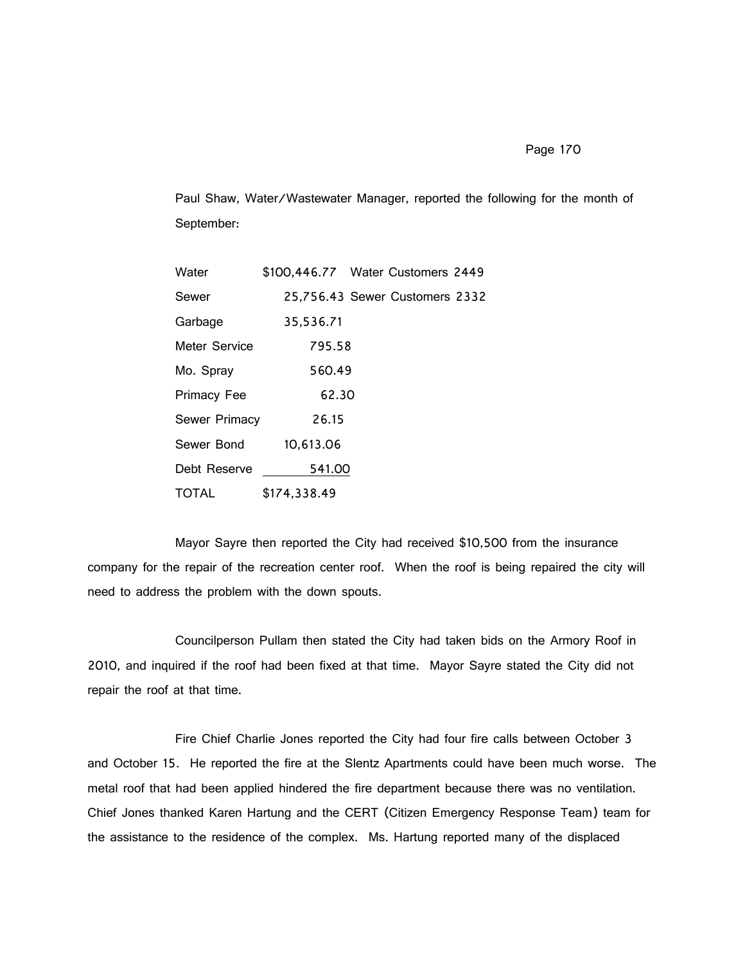Page 170

Paul Shaw, Water/Wastewater Manager, reported the following for the month of September:

| Water              | \$100,446.77 Water Customers 2449 |                                |  |
|--------------------|-----------------------------------|--------------------------------|--|
| Sewer              |                                   | 25,756.43 Sewer Customers 2332 |  |
| Garbage            | 35,536.71                         |                                |  |
| Meter Service      | 795.58                            |                                |  |
| Mo. Spray          | 560.49                            |                                |  |
| <b>Primacy Fee</b> | 62.30                             |                                |  |
| Sewer Primacy      | 26.15                             |                                |  |
| Sewer Bond         | 10,613.06                         |                                |  |
| Debt Reserve       | 541.00                            |                                |  |
| TOTAL              | \$174,338.49                      |                                |  |

Mayor Sayre then reported the City had received \$10,500 from the insurance company for the repair of the recreation center roof. When the roof is being repaired the city will need to address the problem with the down spouts.

Councilperson Pullam then stated the City had taken bids on the Armory Roof in 2010, and inquired if the roof had been fixed at that time. Mayor Sayre stated the City did not repair the roof at that time.

Fire Chief Charlie Jones reported the City had four fire calls between October 3 and October 15. He reported the fire at the Slentz Apartments could have been much worse. The metal roof that had been applied hindered the fire department because there was no ventilation. Chief Jones thanked Karen Hartung and the CERT (Citizen Emergency Response Team) team for the assistance to the residence of the complex. Ms. Hartung reported many of the displaced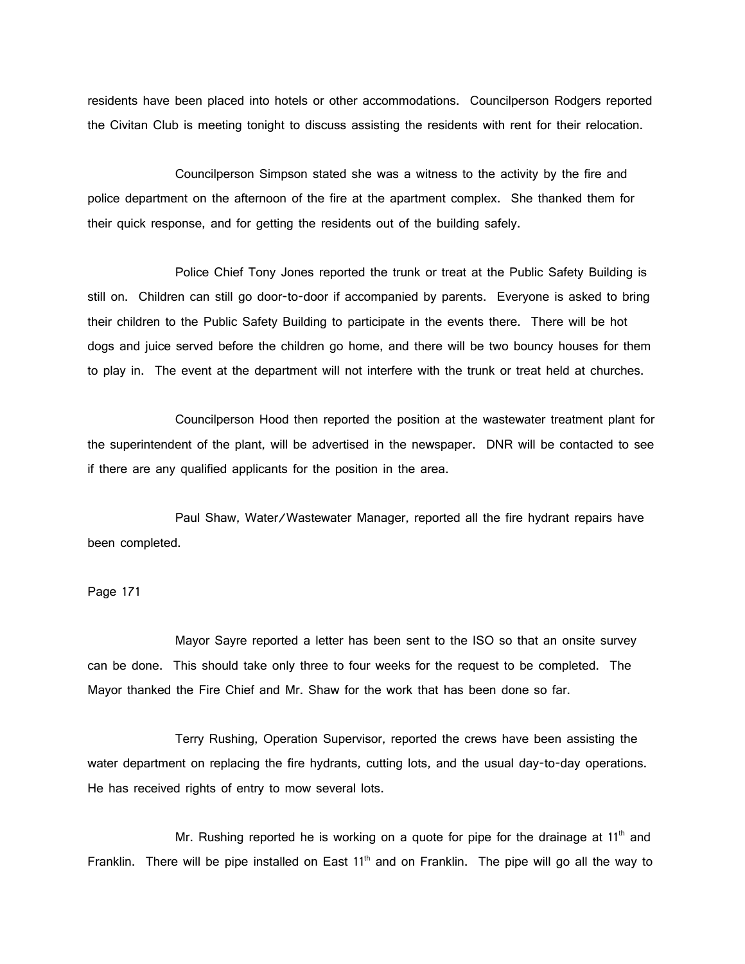residents have been placed into hotels or other accommodations. Councilperson Rodgers reported the Civitan Club is meeting tonight to discuss assisting the residents with rent for their relocation.

Councilperson Simpson stated she was a witness to the activity by the fire and police department on the afternoon of the fire at the apartment complex. She thanked them for their quick response, and for getting the residents out of the building safely.

Police Chief Tony Jones reported the trunk or treat at the Public Safety Building is still on. Children can still go door-to-door if accompanied by parents. Everyone is asked to bring their children to the Public Safety Building to participate in the events there. There will be hot dogs and juice served before the children go home, and there will be two bouncy houses for them to play in. The event at the department will not interfere with the trunk or treat held at churches.

Councilperson Hood then reported the position at the wastewater treatment plant for the superintendent of the plant, will be advertised in the newspaper. DNR will be contacted to see if there are any qualified applicants for the position in the area.

Paul Shaw, Water/Wastewater Manager, reported all the fire hydrant repairs have been completed.

Page 171

Mayor Sayre reported a letter has been sent to the ISO so that an onsite survey can be done. This should take only three to four weeks for the request to be completed. The Mayor thanked the Fire Chief and Mr. Shaw for the work that has been done so far.

Terry Rushing, Operation Supervisor, reported the crews have been assisting the water department on replacing the fire hydrants, cutting lots, and the usual day-to-day operations. He has received rights of entry to mow several lots.

Mr. Rushing reported he is working on a quote for pipe for the drainage at  $11<sup>th</sup>$  and Franklin. There will be pipe installed on East 11<sup>th</sup> and on Franklin. The pipe will go all the way to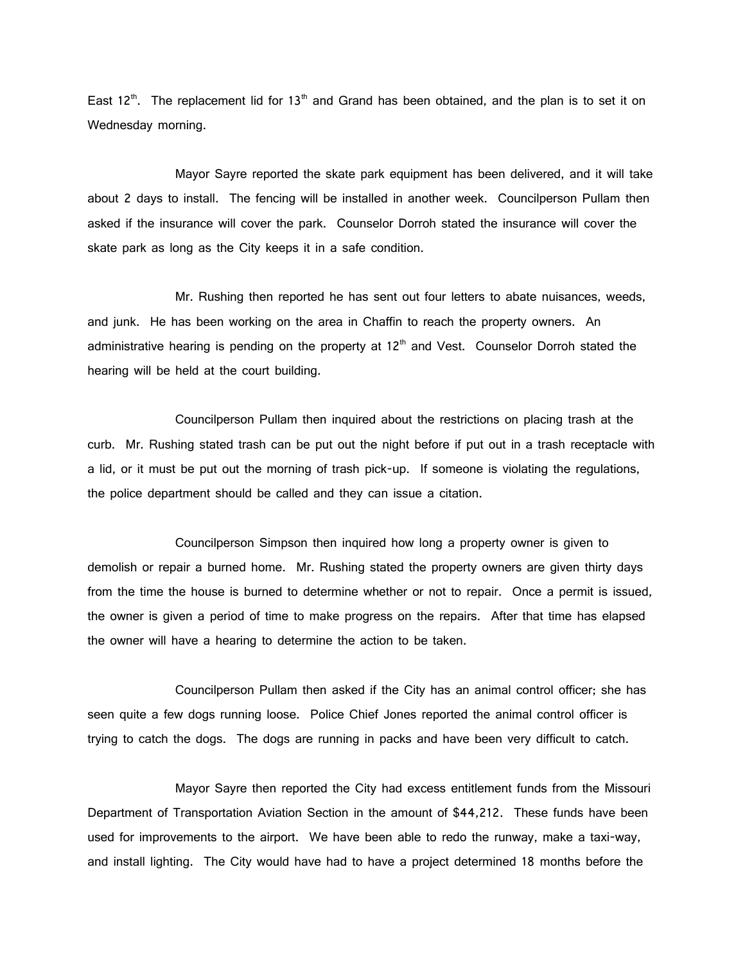East 12<sup>th</sup>. The replacement lid for 13<sup>th</sup> and Grand has been obtained, and the plan is to set it on Wednesday morning.

Mayor Sayre reported the skate park equipment has been delivered, and it will take about 2 days to install. The fencing will be installed in another week. Councilperson Pullam then asked if the insurance will cover the park. Counselor Dorroh stated the insurance will cover the skate park as long as the City keeps it in a safe condition.

Mr. Rushing then reported he has sent out four letters to abate nuisances, weeds, and junk. He has been working on the area in Chaffin to reach the property owners. An administrative hearing is pending on the property at  $12<sup>th</sup>$  and Vest. Counselor Dorroh stated the hearing will be held at the court building.

Councilperson Pullam then inquired about the restrictions on placing trash at the curb. Mr. Rushing stated trash can be put out the night before if put out in a trash receptacle with a lid, or it must be put out the morning of trash pick-up. If someone is violating the regulations, the police department should be called and they can issue a citation.

Councilperson Simpson then inquired how long a property owner is given to demolish or repair a burned home. Mr. Rushing stated the property owners are given thirty days from the time the house is burned to determine whether or not to repair. Once a permit is issued, the owner is given a period of time to make progress on the repairs. After that time has elapsed the owner will have a hearing to determine the action to be taken.

Councilperson Pullam then asked if the City has an animal control officer; she has seen quite a few dogs running loose. Police Chief Jones reported the animal control officer is trying to catch the dogs. The dogs are running in packs and have been very difficult to catch.

Mayor Sayre then reported the City had excess entitlement funds from the Missouri Department of Transportation Aviation Section in the amount of \$44,212. These funds have been used for improvements to the airport. We have been able to redo the runway, make a taxi-way, and install lighting. The City would have had to have a project determined 18 months before the